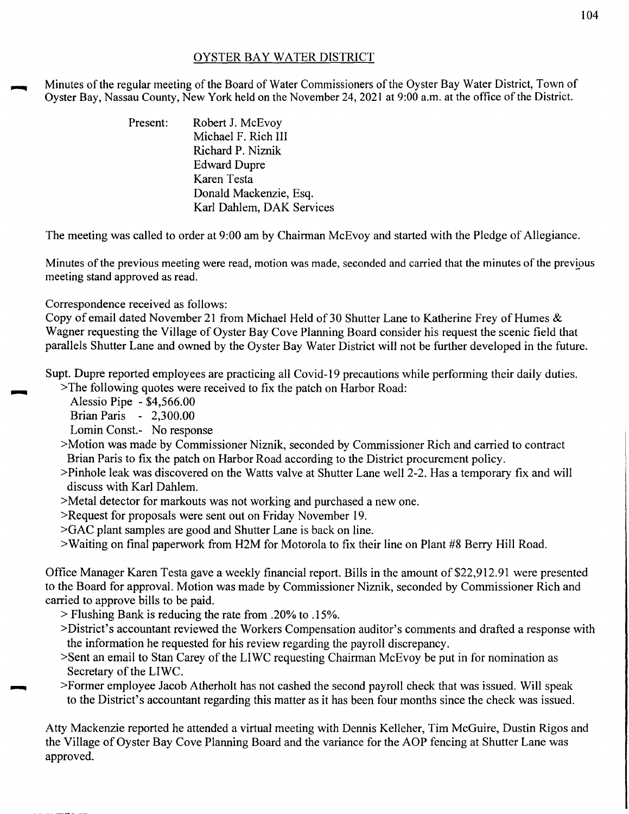## OYSTER BAY WATER DISTRICT

Minutes of the regular meeting of the Board of Water Commissioners of the Oyster Bay Water District, Town of Oyster Bay, Nassau County, New York held on the November 24, 2021 at 9:00a.m. at the office of the District.

| Robert J. McEvoy          |
|---------------------------|
| Michael F. Rich III       |
| Richard P. Niznik         |
| <b>Edward Dupre</b>       |
| Karen Testa               |
| Donald Mackenzie, Esq.    |
| Karl Dahlem, DAK Services |
|                           |

The meeting was called to order at 9:00 am by Chairman McEvoy and started with the Pledge of Allegiance.

Minutes of the previous meeting were read, motion was made, seconded and carried that the minutes of the previous meeting stand approved as read.

Correspondence received as follows:

Copy of email dated November 21 from Michael Held of 30 Shutter Lane to Katherine Frey of Humes & Wagner requesting the Village of Oyster Bay Cove Planning Board consider his request the scenic field that parallels Shutter Lane and owned by the Oyster Bay Water District will not be further developed in the future.

Supt. Dupre reported employees are practicing all Covid-19 precautions while performing their daily duties.

>The following quotes were received to fix the patch on Harbor Road:

Alessio Pipe - \$4,566.00

......

Brian Paris - 2,300.00

Lomin Const.- No response

- >Motion was made by Commissioner Niznik, seconded by Commissioner Rich and carried to contract Brian Paris to fix the patch on Harbor Road according to the District procurement policy.
- >Pinhole leak was discovered on the Watts valve at Shutter Lane well2-2. Has a temporary fix and will discuss with Karl Dahlem.
- >Metal detector for markouts was not working and purchased a new one.
- >Request for proposals were sent out on Friday November 19.

>GAC plant samples are good and Shutter Lane is back on line.

>Waiting on final paperwork from H2M for Motorola to fix their line on Plant #8 Berry Hill Road.

Office Manager Karen Testa gave a weekly financial report. Bills in the amount of \$22,912.91 were presented to the Board for approval. Motion was made by Commissioner Niznik, seconded by Commissioner Rich and carried to approve bills to be paid.

- > Flushing Bank is reducing the rate from .20% to .15%.
- >District's accountant reviewed the Workers Compensation auditor's comments and drafted a response with the information he requested for his review regarding the payroll discrepancy.
- >Sent an email to Stan Carey of the LIWC requesting Chairman McEvoy be put in for nomination as Secretary of the LIWC.
- ~ >Former employee Jacob Atherholt has not cashed the second payroll check that was issued. Will speak to the District's accountant regarding this matter as it has been four months since the check was issued.

Atty Mackenzie reported he attended a virtual meeting with Dennis Kelleher, Tim McGuire, Dustin Rigos and the Village of Oyster Bay Cove Planning Board and the variance for the AOP fencing at Shutter Lane was approved.